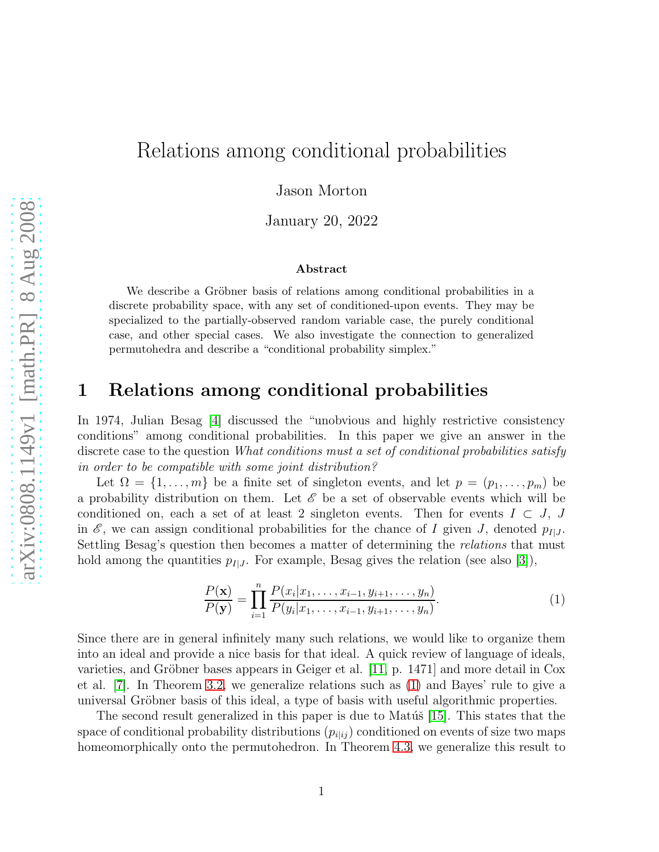# Relations among conditional probabilities

Jason Morton

January 20, 2022

#### Abstract

We describe a Gröbner basis of relations among conditional probabilities in a discrete probability space, with any set of conditioned-upon events. They may be specialized to the partially-observed random variable case, the purely conditional case, and other special cases. We also investigate the connection to generalized permutohedra and describe a "conditional probability simplex."

### 1 Relations among conditional probabilities

In 1974, Julian Besag [\[4\]](#page-18-0) discussed the "unobvious and highly restrictive consistency conditions" among conditional probabilities. In this paper we give an answer in the discrete case to the question *What conditions must a set of conditional probabilities satisfy in order to be compatible with some joint distribution?*

Let  $\Omega = \{1, \ldots, m\}$  be a finite set of singleton events, and let  $p = (p_1, \ldots, p_m)$  be a probability distribution on them. Let  $\mathscr E$  be a set of observable events which will be conditioned on, each a set of at least 2 singleton events. Then for events  $I \subset J$ , J in  $\mathscr{E}$ , we can assign conditional probabilities for the chance of I given J, denoted  $p_{I|J}$ . Settling Besag's question then becomes a matter of determining the *relations* that must hold among the quantities  $p_{I|J}$ . For example, Besag gives the relation (see also [\[3\]](#page-18-1)),

<span id="page-0-0"></span>
$$
\frac{P(\mathbf{x})}{P(\mathbf{y})} = \prod_{i=1}^{n} \frac{P(x_i|x_1, \dots, x_{i-1}, y_{i+1}, \dots, y_n)}{P(y_i|x_1, \dots, x_{i-1}, y_{i+1}, \dots, y_n)}.
$$
(1)

Since there are in general infinitely many such relations, we would like to organize them into an ideal and provide a nice basis for that ideal. A quick review of language of ideals, varieties, and Gröbner bases appears in Geiger et al.  $[11, p. 1471]$  and more detail in Cox et al. [\[7\]](#page-18-3). In Theorem [3.2,](#page-6-0) we generalize relations such as [\(1\)](#page-0-0) and Bayes' rule to give a universal Gröbner basis of this ideal, a type of basis with useful algorithmic properties.

The second result generalized in this paper is due to Matúš [\[15\]](#page-18-4). This states that the space of conditional probability distributions  $(p_{i|ij})$  conditioned on events of size two maps homeomorphically onto the permutohedron. In Theorem [4.3,](#page-10-0) we generalize this result to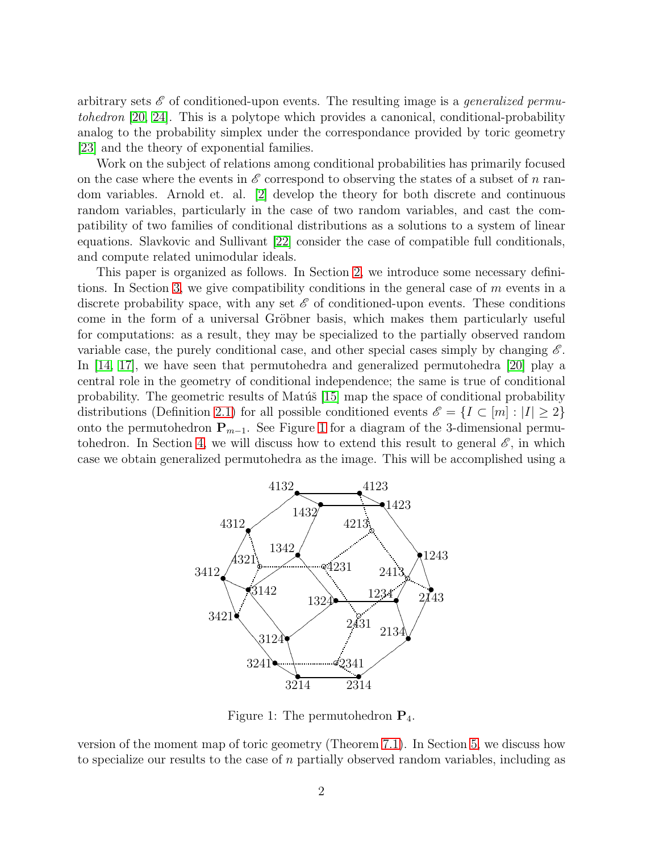arbitrary sets E of conditioned-upon events. The resulting image is a *generalized permutohedron* [\[20,](#page-19-0) [24\]](#page-19-1). This is a polytope which provides a canonical, conditional-probability analog to the probability simplex under the correspondance provided by toric geometry [\[23\]](#page-19-2) and the theory of exponential families.

Work on the subject of relations among conditional probabilities has primarily focused on the case where the events in  $\mathscr E$  correspond to observing the states of a subset of n random variables. Arnold et. al. [\[2\]](#page-18-5) develop the theory for both discrete and continuous random variables, particularly in the case of two random variables, and cast the compatibility of two families of conditional distributions as a solutions to a system of linear equations. Slavkovic and Sullivant [\[22\]](#page-19-3) consider the case of compatible full conditionals, and compute related unimodular ideals.

This paper is organized as follows. In Section [2,](#page-2-0) we introduce some necessary definitions. In Section [3,](#page-5-0) we give compatibility conditions in the general case of m events in a discrete probability space, with any set  $\mathscr E$  of conditioned-upon events. These conditions come in the form of a universal Gröbner basis, which makes them particularly useful for computations: as a result, they may be specialized to the partially observed random variable case, the purely conditional case, and other special cases simply by changing  $\mathscr E$ . In [\[14,](#page-18-6) [17\]](#page-18-7), we have seen that permutohedra and generalized permutohedra [\[20\]](#page-19-0) play a central role in the geometry of conditional independence; the same is true of conditional probability. The geometric results of Matúš  $[15]$  map the space of conditional probability distributions (Definition [2.1\)](#page-2-1) for all possible conditioned events  $\mathscr{E} = \{I \subset [m] : |I| \geq 2\}$ onto the permutohedron  $P_{m-1}$ . See Figure [1](#page-1-0) for a diagram of the 3-dimensional permu-tohedron. In Section [4,](#page-9-0) we will discuss how to extend this result to general  $\mathscr{E}$ , in which case we obtain generalized permutohedra as the image. This will be accomplished using a



<span id="page-1-0"></span>Figure 1: The permutohedron  $P_4$ .

version of the moment map of toric geometry (Theorem [7.1\)](#page-17-0). In Section [5,](#page-14-0) we discuss how to specialize our results to the case of  $n$  partially observed random variables, including as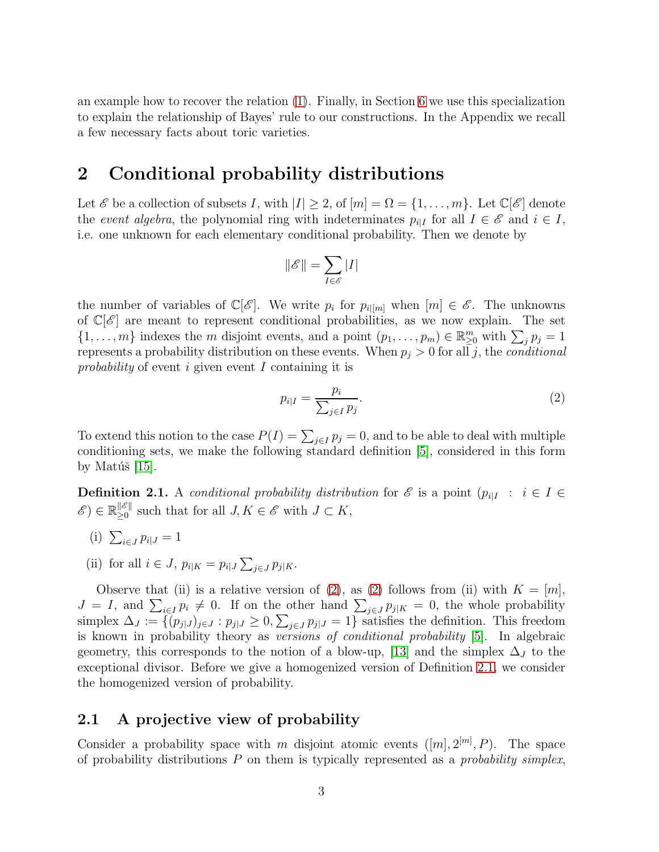an example how to recover the relation [\(1\)](#page-0-0). Finally, in Section [6](#page-15-0) we use this specialization to explain the relationship of Bayes' rule to our constructions. In the Appendix we recall a few necessary facts about toric varieties.

### <span id="page-2-0"></span>2 Conditional probability distributions

Let  $\mathscr E$  be a collection of subsets I, with  $|I| \geq 2$ , of  $[m] = \Omega = \{1, \ldots, m\}$ . Let  $\mathbb C[\mathscr E]$  denote the *event algebra*, the polynomial ring with indeterminates  $p_{i|I}$  for all  $I \in \mathscr{E}$  and  $i \in I$ , i.e. one unknown for each elementary conditional probability. Then we denote by

$$
\|\mathscr{E}\|=\sum_{I\in\mathscr{E}}|I|
$$

the number of variables of  $\mathbb{C}[\mathscr{E}]$ . We write  $p_i$  for  $p_{i|[m]}$  when  $[m] \in \mathscr{E}$ . The unknowns of  $\mathbb{C}[\mathscr{E}]$  are meant to represent conditional probabilities, as we now explain. The set  $\{1,\ldots,m\}$  indexes the m disjoint events, and a point  $(p_1,\ldots,p_m)\in\mathbb{R}_{\geq 0}^m$  with  $\sum_j p_j=1$ represents a probability distribution on these events. When  $p_j > 0$  for all j, the *conditional probability* of event i given event I containing it is

<span id="page-2-2"></span>
$$
p_{i|I} = \frac{p_i}{\sum_{j \in I} p_j}.\tag{2}
$$

To extend this notion to the case  $P(I) = \sum_{j \in I} p_j = 0$ , and to be able to deal with multiple conditioning sets, we make the following standard definition [\[5\]](#page-18-8), considered in this form by Matúš  $[15]$ .

<span id="page-2-1"></span>**Definition 2.1.** A *conditional probability distribution* for  $\mathscr E$  is a point  $(p_{i|I} : i \in I \in I)$  $\mathscr{E}) \in \mathbb{R}_{\geq 0}^{\|\mathscr{E}\|}$  $\|\mathscr{E}\|$  such that for all  $J, K \in \mathscr{E}$  with  $J \subset K$ ,

- (i)  $\sum_{i \in J} p_{i|J} = 1$
- (ii) for all  $i \in J$ ,  $p_{i|K} = p_{i|J} \sum_{j \in J} p_{j|K}$ .

Observe that (ii) is a relative version of [\(2\)](#page-2-2), as (2) follows from (ii) with  $K = [m]$ ,  $J = I$ , and  $\sum_{i \in I} p_i \neq 0$ . If on the other hand  $\sum_{j \in J} p_{j|K} = 0$ , the whole probability simplex  $\Delta_J := \{(p_{j|J})_{j \in J} : p_{j|J} \ge 0, \sum_{j \in J} p_{j|J} = 1\}$  satisfies the definition. This freedom is known in probability theory as *versions of conditional probability* [\[5\]](#page-18-8). In algebraic geometry, this corresponds to the notion of a blow-up, [\[13\]](#page-18-9) and the simplex  $\Delta_J$  to the exceptional divisor. Before we give a homogenized version of Definition [2.1,](#page-2-1) we consider the homogenized version of probability.

#### <span id="page-2-3"></span>2.1 A projective view of probability

Consider a probability space with m disjoint atomic events  $([m], 2^{[m]}, P)$ . The space of probability distributions P on them is typically represented as a *probability simplex*,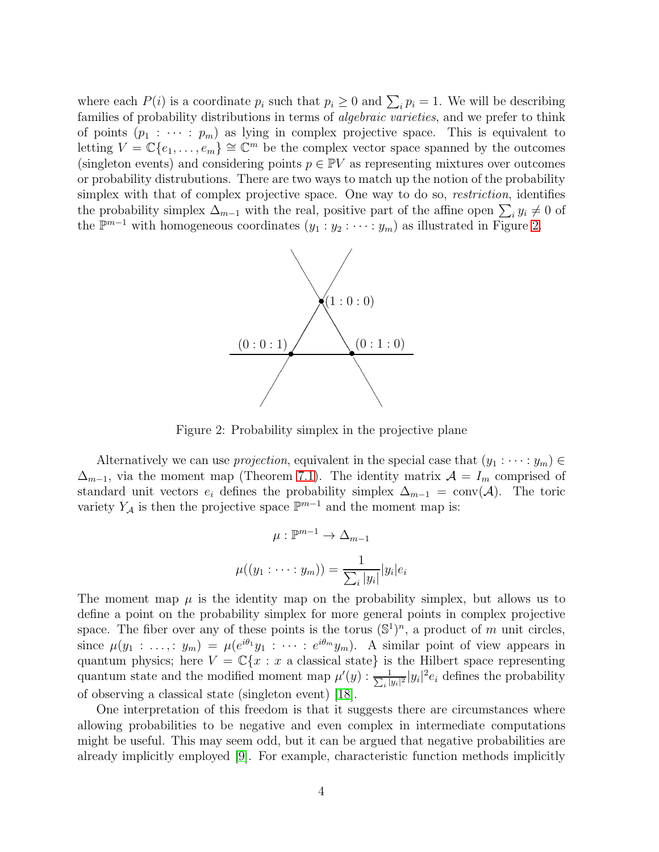where each  $P(i)$  is a coordinate  $p_i$  such that  $p_i \geq 0$  and  $\sum_i p_i = 1$ . We will be describing families of probability distributions in terms of *algebraic varieties*, and we prefer to think of points  $(p_1 : \cdots : p_m)$  as lying in complex projective space. This is equivalent to letting  $V = \mathbb{C}\{e_1, \ldots, e_m\} \cong \mathbb{C}^m$  be the complex vector space spanned by the outcomes (singleton events) and considering points  $p \in \mathbb{P}V$  as representing mixtures over outcomes or probability distrubutions. There are two ways to match up the notion of the probability simplex with that of complex projective space. One way to do so, *restriction*, identifies the probability simplex  $\Delta_{m-1}$  with the real, positive part of the affine open  $\sum_i y_i \neq 0$  of the  $\mathbb{P}^{m-1}$  with homogeneous coordinates  $(y_1 : y_2 : \cdots : y_m)$  as illustrated in Figure [2.](#page-3-0)



<span id="page-3-0"></span>Figure 2: Probability simplex in the projective plane

Alternatively we can use *projection*, equivalent in the special case that  $(y_1 : \cdots : y_m) \in$  $\Delta_{m-1}$ , via the moment map (Theorem [7.1\)](#page-17-0). The identity matrix  $\mathcal{A} = I_m$  comprised of standard unit vectors  $e_i$  defines the probability simplex  $\Delta_{m-1} = \text{conv}(\mathcal{A})$ . The toric variety  $Y_A$  is then the projective space  $\mathbb{P}^{m-1}$  and the moment map is:

$$
\mu : \mathbb{P}^{m-1} \to \Delta_{m-1}
$$

$$
\mu((y_1 : \dots : y_m)) = \frac{1}{\sum_i |y_i|} |y_i| e_i
$$

The moment map  $\mu$  is the identity map on the probability simplex, but allows us to define a point on the probability simplex for more general points in complex projective space. The fiber over any of these points is the torus  $(\mathbb{S}^1)^n$ , a product of m unit circles, since  $\mu(y_1 : \ldots : y_m) = \mu(e^{i\theta_1}y_1 : \cdots : e^{i\theta_m}y_m)$ . A similar point of view appears in quantum physics; here  $V = \mathbb{C}\{x : x$  a classical state} is the Hilbert space representing quantum state and the modified moment map  $\mu'(y)$  :  $\frac{1}{\sum_i |y_i|}$  $\frac{1}{\left|y_i\right|^2}$   $|y_i|^2 e_i$  defines the probability of observing a classical state (singleton event) [\[18\]](#page-19-4).

One interpretation of this freedom is that it suggests there are circumstances where allowing probabilities to be negative and even complex in intermediate computations might be useful. This may seem odd, but it can be argued that negative probabilities are already implicitly employed [\[9\]](#page-18-10). For example, characteristic function methods implicitly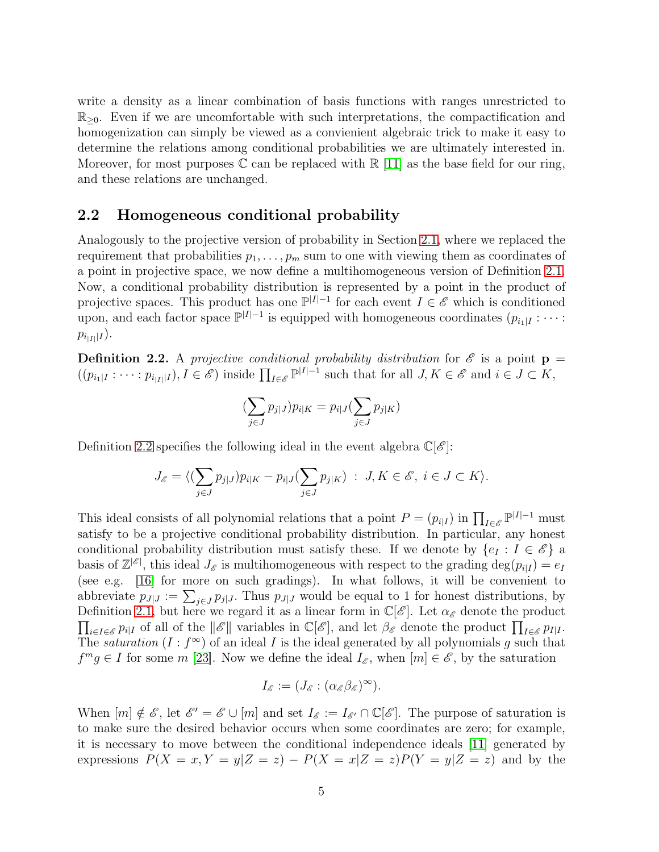write a density as a linear combination of basis functions with ranges unrestricted to  $\mathbb{R}_{\geq 0}$ . Even if we are uncomfortable with such interpretations, the compactification and homogenization can simply be viewed as a convienient algebraic trick to make it easy to determine the relations among conditional probabilities we are ultimately interested in. Moreover, for most purposes  $\mathbb C$  can be replaced with  $\mathbb R$  [\[11\]](#page-18-2) as the base field for our ring, and these relations are unchanged.

#### 2.2 Homogeneous conditional probability

Analogously to the projective version of probability in Section [2.1,](#page-2-3) where we replaced the requirement that probabilities  $p_1, \ldots, p_m$  sum to one with viewing them as coordinates of a point in projective space, we now define a multihomogeneous version of Definition [2.1.](#page-2-1) Now, a conditional probability distribution is represented by a point in the product of projective spaces. This product has one  $\mathbb{P}^{|I|-1}$  for each event  $I \in \mathscr{E}$  which is conditioned upon, and each factor space  $\mathbb{P}^{|I|-1}$  is equipped with homogeneous coordinates  $(p_{i_1|I} : \cdots :$  $p_{i_{|I|}|I}).$ 

<span id="page-4-0"></span>**Definition 2.2.** A *projective conditional probability distribution* for  $\mathscr E$  is a point  $p =$  $((p_{i_1|I} : \cdots : p_{i_{|I|}|I}), I \in \mathscr{E})$  inside  $\prod_{I \in \mathscr{E}} \mathbb{P}^{|I|-1}$  such that for all  $J, K \in \mathscr{E}$  and  $i \in J \subset K$ ,

$$
(\sum_{j\in J}p_{j|J})p_{i|K}=p_{i|J}(\sum_{j\in J}p_{j|K})
$$

Definition [2.2](#page-4-0) specifies the following ideal in the event algebra  $\mathbb{C}[\mathscr{E}]$ :

$$
J_{\mathscr{E}} = \langle (\sum_{j \in J} p_{j|J}) p_{i|K} - p_{i|J} (\sum_{j \in J} p_{j|K}) : J, K \in \mathscr{E}, i \in J \subset K \rangle.
$$

This ideal consists of all polynomial relations that a point  $P = (p_{i|I})$  in  $\prod_{I \in \mathscr{E}} \mathbb{P}^{|I|-1}$  must satisfy to be a projective conditional probability distribution. In particular, any honest conditional probability distribution must satisfy these. If we denote by  $\{e_I : I \in \mathscr{E}\}\$ a basis of  $\mathbb{Z}^{|\mathscr{E}|}$ , this ideal  $J_{\mathscr{E}}$  is multihomogeneous with respect to the grading  $\deg(p_{i|I}) = e_I$ (see e.g. [\[16\]](#page-18-11) for more on such gradings). In what follows, it will be convenient to abbreviate  $p_{J|J} := \sum_{j \in J} p_{j|J}$ . Thus  $p_{J|J}$  would be equal to 1 for honest distributions, by  $\prod_{i\in I\in\mathscr{E}}p_{i|I}$  of all of the  $||\mathscr{E}||$  variables in  $\mathbb{C}[\mathscr{E}]$ , and let  $\beta_{\mathscr{E}}$  denote the product  $\prod_{I\in\mathscr{E}}p_{I|I}$ . Definition [2.1,](#page-2-1) but here we regard it as a linear form in  $\mathbb{C}[\mathscr{E}]$ . Let  $\alpha_{\mathscr{E}}$  denote the product The *saturation*  $(I : f^{\infty})$  of an ideal I is the ideal generated by all polynomials g such that  $f<sup>m</sup>g \in I$  for some m [\[23\]](#page-19-2). Now we define the ideal  $I<sub>\mathscr{E}</sub>$ , when  $[m] \in \mathscr{E}$ , by the saturation

$$
I_{\mathscr{E}} := (J_{\mathscr{E}} : (\alpha_{\mathscr{E}} \beta_{\mathscr{E}})^{\infty}).
$$

When  $[m] \notin \mathscr{E}$ , let  $\mathscr{E}' = \mathscr{E} \cup [m]$  and set  $I_{\mathscr{E}} := I_{\mathscr{E}'} \cap \mathbb{C}[\mathscr{E}]$ . The purpose of saturation is to make sure the desired behavior occurs when some coordinates are zero; for example, it is necessary to move between the conditional independence ideals [\[11\]](#page-18-2) generated by expressions  $P(X = x, Y = y|Z = z) - P(X = x|Z = z)P(Y = y|Z = z)$  and by the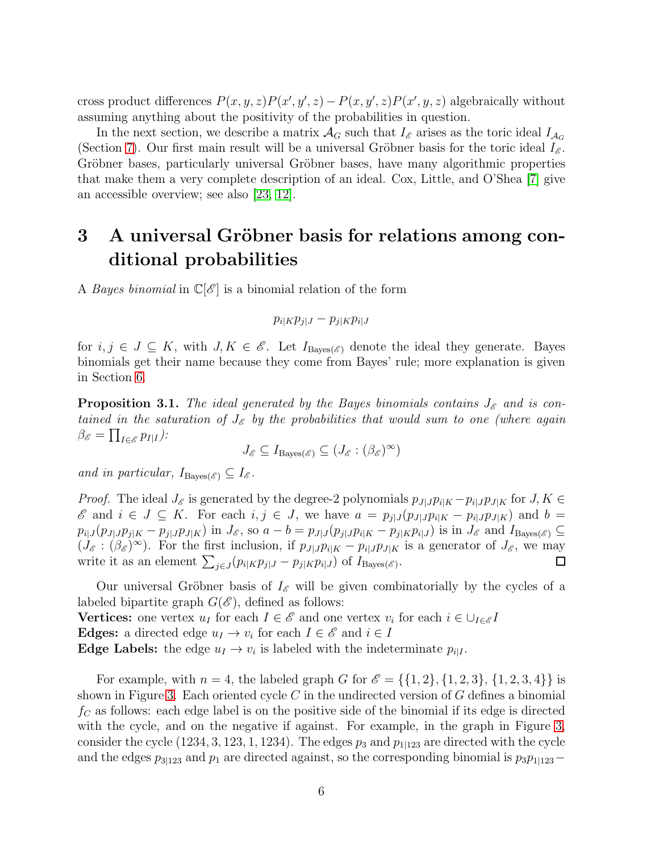cross product differences  $P(x, y, z)P(x', y', z) - P(x, y', z)P(x', y, z)$  algebraically without assuming anything about the positivity of the probabilities in question.

In the next section, we describe a matrix  $\mathcal{A}_G$  such that  $I_{\mathscr{E}}$  arises as the toric ideal  $I_{\mathcal{A}_G}$ (Section [7\)](#page-16-0). Our first main result will be a universal Gröbner basis for the toric ideal  $I_{\mathscr{E}}$ . Gröbner bases, particularly universal Gröbner bases, have many algorithmic properties that make them a very complete description of an ideal. Cox, Little, and O'Shea [\[7\]](#page-18-3) give an accessible overview; see also [\[23,](#page-19-2) [12\]](#page-18-12).

## <span id="page-5-0"></span>3 A universal Gröbner basis for relations among conditional probabilities

A *Bayes binomial* in  $\mathbb{C}[\mathscr{E}]$  is a binomial relation of the form

$$
p_{i|K}p_{j|J} - p_{j|K}p_{i|J}
$$

for  $i, j \in J \subseteq K$ , with  $J, K \in \mathscr{E}$ . Let  $I_{\text{Bayes}(\mathscr{E})}$  denote the ideal they generate. Bayes binomials get their name because they come from Bayes' rule; more explanation is given in Section [6.](#page-15-0)

<span id="page-5-1"></span>**Proposition 3.1.** The ideal generated by the Bayes binomials contains  $J_{\mathscr{E}}$  and is con*tained in the saturation of*  $J_{\mathscr{E}}$  *by the probabilities that would sum to one (where again*  $\beta_{\mathscr{E}}=\prod_{I\in\mathscr{E}}p_{I|I}).$ 

$$
J_{\mathscr{E}} \subseteq I_{\operatorname{Bayes}(\mathscr{E})} \subseteq (J_{\mathscr{E}} : (\beta_{\mathscr{E}})^{\infty})
$$

*and in particular,*  $I_{\text{Bayes}(\mathscr{E})} \subseteq I_{\mathscr{E}}$ .

*Proof.* The ideal  $J_{\mathscr{E}}$  is generated by the degree-2 polynomials  $p_{J|J}p_{i|K} - p_{i|J}p_{J|K}$  for  $J, K \in$  $\mathscr E$  and  $i \in J \subseteq K$ . For each  $i, j \in J$ , we have  $a = p_{j|J}(p_{J|J}p_{i|K} - p_{i|J}p_{J|K})$  and  $b =$  $p_{i|J}(p_{J|J}p_{j|K}-p_{j|J}p_{J|K})$  in  $J_{\mathscr{E}}$ , so  $a-b=p_{J|J}(p_{j|J}p_{i|K}-p_{j|K}p_{i|J})$  is in  $J_{\mathscr{E}}$  and  $I_{\text{Bayes}(\mathscr{E})}\subseteq$  $(J_{\mathscr{E}}: (\beta_{\mathscr{E}})^{\infty})$ . For the first inclusion, if  $p_{J|J}p_{i|K} - p_{i|J}p_{J|K}$  is a generator of  $J_{\mathscr{E}}$ , we may write it as an element  $\sum_{j\in J} (p_{i|K}p_{j|J} - p_{j|K}p_{i|J})$  of  $I_{\text{Bayes}(\mathscr{E})}$ . 囗

Our universal Gröbner basis of  $I_{\mathscr{E}}$  will be given combinatorially by the cycles of a labeled bipartite graph  $G(\mathscr{E})$ , defined as follows: **Vertices:** one vertex  $u_I$  for each  $I \in \mathcal{E}$  and one vertex  $v_i$  for each  $i \in \bigcup_{I \in \mathcal{E}} I$ 

**Edges:** a directed edge  $u_I \to v_i$  for each  $I \in \mathscr{E}$  and  $i \in I$ 

**Edge Labels:** the edge  $u_I \to v_i$  is labeled with the indeterminate  $p_{i|I}$ .

For example, with  $n = 4$ , the labeled graph G for  $\mathscr{E} = \{\{1, 2\}, \{1, 2, 3\}, \{1, 2, 3, 4\}\}\$ is shown in Figure [3.](#page-6-1) Each oriented cycle  $C$  in the undirected version of  $G$  defines a binomial  $f<sub>C</sub>$  as follows: each edge label is on the positive side of the binomial if its edge is directed with the cycle, and on the negative if against. For example, in the graph in Figure [3,](#page-6-1) consider the cycle (1234, 3, 123, 1, 1234). The edges  $p_3$  and  $p_{1123}$  are directed with the cycle and the edges  $p_{3|123}$  and  $p_1$  are directed against, so the corresponding binomial is  $p_3p_{1|123}-$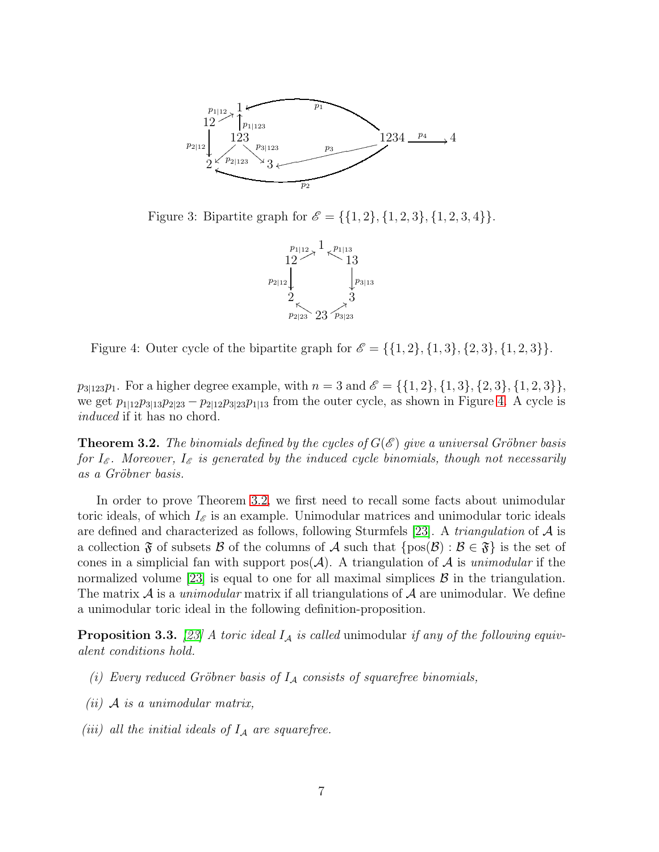

<span id="page-6-1"></span>Figure 3: Bipartite graph for  $\mathscr{E} = \{\{1, 2\}, \{1, 2, 3\}, \{1, 2, 3, 4\}\}.$ 



<span id="page-6-2"></span>Figure 4: Outer cycle of the bipartite graph for  $\mathscr{E} = \{\{1, 2\}, \{1, 3\}, \{2, 3\}, \{1, 2, 3\}\}.$ 

 $p_{3|123}p_1$ . For a higher degree example, with  $n = 3$  and  $\mathscr{E} = \{\{1, 2\}, \{1, 3\}, \{2, 3\}, \{1, 2, 3\}\},$ we get  $p_{1|12}p_{3|13}p_{2|23} - p_{2|12}p_{3|23}p_{1|13}$  from the outer cycle, as shown in Figure [4.](#page-6-2) A cycle is *induced* if it has no chord.

<span id="page-6-0"></span>**Theorem 3.2.** The binomials defined by the cycles of  $G(\mathscr{E})$  give a universal Gröbner basis *for*  $I_{\mathscr{E}}$ . Moreover,  $I_{\mathscr{E}}$  *is generated by the induced cycle binomials, though not necessarily as a Gr¨obner basis.*

In order to prove Theorem [3.2,](#page-6-0) we first need to recall some facts about unimodular toric ideals, of which  $I_{\mathscr{E}}$  is an example. Unimodular matrices and unimodular toric ideals are defined and characterized as follows, following Sturmfels [\[23\]](#page-19-2). A *triangulation* of A is a collection  $\mathfrak F$  of subsets  $\mathcal B$  of the columns of  $\mathcal A$  such that  $\{pos(\mathcal B) : \mathcal B \in \mathfrak F\}$  is the set of cones in a simplicial fan with support  $pos(\mathcal{A})$ . A triangulation of  $\mathcal A$  is *unimodular* if the normalized volume [\[23\]](#page-19-2) is equal to one for all maximal simplices  $\beta$  in the triangulation. The matrix  $\mathcal A$  is a *unimodular* matrix if all triangulations of  $\mathcal A$  are unimodular. We define a unimodular toric ideal in the following definition-proposition.

**Proposition 3.3.** [\[23\]](#page-19-2) A toric ideal  $I_A$  is called unimodular if any of the following equiv*alent conditions hold.*

- *(i) Every reduced Gröbner basis of*  $I<sub>A</sub>$  *consists of squarefree binomials,*
- *(ii)* A *is a unimodular matrix,*
- *(iii) all the initial ideals of*  $I_A$  *are squarefree.*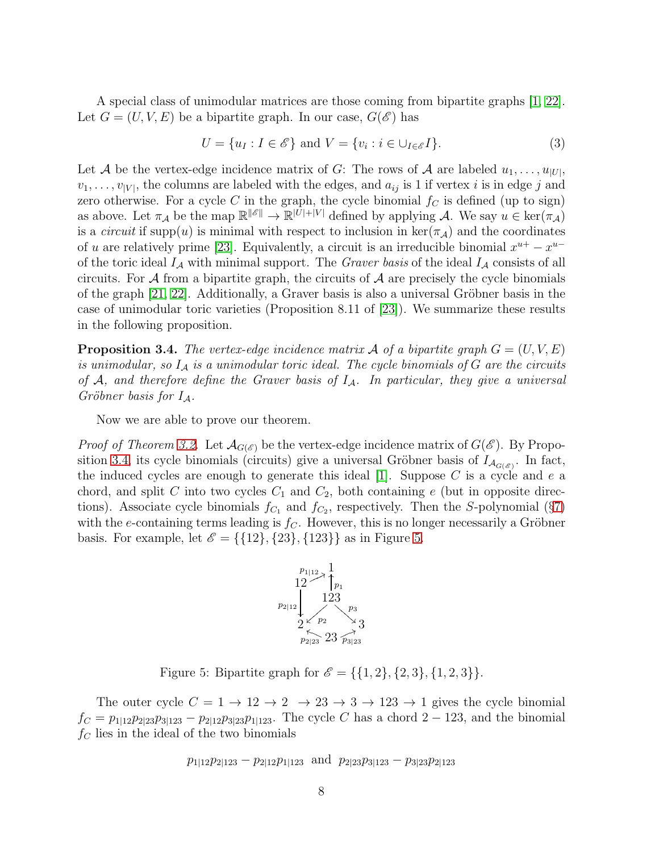A special class of unimodular matrices are those coming from bipartite graphs [\[1,](#page-17-1) [22\]](#page-19-3). Let  $G = (U, V, E)$  be a bipartite graph. In our case,  $G(\mathscr{E})$  has

<span id="page-7-2"></span>
$$
U = \{u_I : I \in \mathscr{E}\} \text{ and } V = \{v_i : i \in \bigcup_{I \in \mathscr{E}} I\}.
$$
\n
$$
(3)
$$

Let A be the vertex-edge incidence matrix of G: The rows of A are labeled  $u_1, \ldots, u_{|U|}$ ,  $v_1, \ldots, v_{|V|}$ , the columns are labeled with the edges, and  $a_{ij}$  is 1 if vertex *i* is in edge *j* and zero otherwise. For a cycle C in the graph, the cycle binomial  $f<sub>C</sub>$  is defined (up to sign) as above. Let  $\pi_{\mathcal{A}}$  be the map  $\mathbb{R}^{\|\mathscr{E}\|} \to \mathbb{R}^{\|\mathcal{U}\| + |\mathcal{V}|}$  defined by applying  $\mathcal{A}$ . We say  $u \in \ker(\pi_{\mathcal{A}})$ is a *circuit* if supp(u) is minimal with respect to inclusion in  $\ker(\pi_A)$  and the coordinates of u are relatively prime [\[23\]](#page-19-2). Equivalently, a circuit is an irreducible binomial  $x^{u+} - x^{u-}$ of the toric ideal  $I_A$  with minimal support. The *Graver basis* of the ideal  $I_A$  consists of all circuits. For  $A$  from a bipartite graph, the circuits of  $A$  are precisely the cycle binomials of the graph  $[21, 22]$  $[21, 22]$ . Additionally, a Graver basis is also a universal Gröbner basis in the case of unimodular toric varieties (Proposition 8.11 of [\[23\]](#page-19-2)). We summarize these results in the following proposition.

<span id="page-7-0"></span>**Proposition 3.4.** The vertex-edge incidence matrix A of a bipartite graph  $G = (U, V, E)$ *is unimodular, so* I<sup>A</sup> *is a unimodular toric ideal. The cycle binomials of* G *are the circuits of* A*, and therefore define the Graver basis of* IA*. In particular, they give a universal Gr¨obner basis for* IA*.*

Now we are able to prove our theorem.

*Proof of Theorem [3.2.](#page-6-0)* Let  $\mathcal{A}_{G(\mathscr{E})}$  be the vertex-edge incidence matrix of  $G(\mathscr{E})$ . By Propo-sition [3.4,](#page-7-0) its cycle binomials (circuits) give a universal Gröbner basis of  $I_{\mathcal{A}_{G(\mathscr{E})}}$ . In fact, the induced cycles are enough to generate this ideal  $|1|$ . Suppose C is a cycle and e a chord, and split C into two cycles  $C_1$  and  $C_2$ , both containing e (but in opposite directions). Associate cycle binomials  $f_{C_1}$  and  $f_{C_2}$ , respectively. Then the S-polynomial (§[7\)](#page-16-0) with the e-containing terms leading is  $f<sub>C</sub>$ . However, this is no longer necessarily a Gröbner basis. For example, let  $\mathscr{E} = \{ \{12\}, \{23\}, \{123\} \}$  as in Figure [5.](#page-7-1)



<span id="page-7-1"></span>Figure 5: Bipartite graph for  $\mathscr{E} = \{\{1, 2\}, \{2, 3\}, \{1, 2, 3\}\}.$ 

The outer cycle  $C = 1 \rightarrow 12 \rightarrow 2 \rightarrow 23 \rightarrow 3 \rightarrow 123 \rightarrow 1$  gives the cycle binomial  $f_C = p_{1|12}p_{2|23}p_{3|123} - p_{2|12}p_{3|23}p_{1|123}$ . The cycle C has a chord 2 – 123, and the binomial  $f_C$  lies in the ideal of the two binomials

$$
p_{1|12}p_{2|123} - p_{2|12}p_{1|123}
$$
 and  $p_{2|23}p_{3|123} - p_{3|23}p_{2|123}$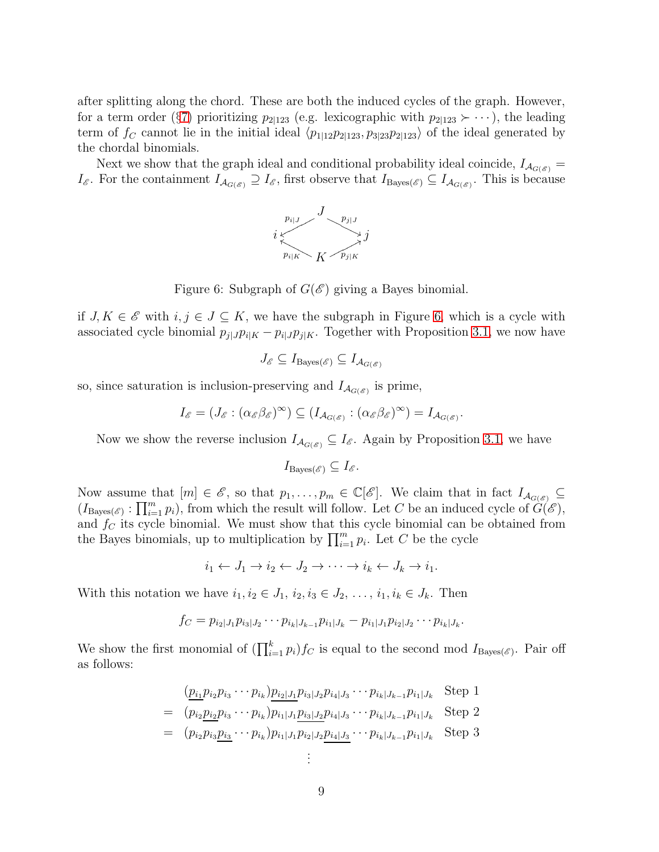after splitting along the chord. These are both the induced cycles of the graph. However, for a term order (§[7\)](#page-16-0) prioritizing  $p_{2|123}$  (e.g. lexicographic with  $p_{2|123} \succ \cdots$ ), the leading term of  $f_C$  cannot lie in the initial ideal  $\langle p_{1|12}p_{2|123}, p_{3|23}p_{2|123}\rangle$  of the ideal generated by the chordal binomials.

Next we show that the graph ideal and conditional probability ideal coincide,  $I_{\mathcal{A}_{G(\mathscr{E})}} =$  $I_{\mathscr{E}}$ . For the containment  $I_{\mathcal{A}_{G(\mathscr{E})}} \supseteq I_{\mathscr{E}}$ , first observe that  $I_{\text{Bayes}(\mathscr{E})} \subseteq I_{\mathcal{A}_{G(\mathscr{E})}}$ . This is because



<span id="page-8-0"></span>Figure 6: Subgraph of  $G(\mathscr{E})$  giving a Bayes binomial.

if  $J, K \in \mathscr{E}$  with  $i, j \in J \subseteq K$ , we have the subgraph in Figure [6,](#page-8-0) which is a cycle with associated cycle binomial  $p_{j|J}p_{i|K} - p_{i|J}p_{j|K}$ . Together with Proposition [3.1,](#page-5-1) we now have

$$
J_{\mathscr{E}} \subseteq I_{\operatorname{Bayes}(\mathscr{E})} \subseteq I_{\mathcal{A}_{G(\mathscr{E})}}
$$

so, since saturation is inclusion-preserving and  $I_{\mathcal{A}_{G(\mathscr{E})}}$  is prime,

$$
I_{\mathscr{E}} = (J_{\mathscr{E}} : (\alpha_{\mathscr{E}} \beta_{\mathscr{E}})^{\infty}) \subseteq (I_{\mathcal{A}_{G(\mathscr{E})}} : (\alpha_{\mathscr{E}} \beta_{\mathscr{E}})^{\infty}) = I_{\mathcal{A}_{G(\mathscr{E})}}.
$$

Now we show the reverse inclusion  $I_{\mathcal{A}_{G(\mathcal{E})}} \subseteq I_{\mathcal{E}}$ . Again by Proposition [3.1,](#page-5-1) we have

$$
I_{\operatorname{Bayes}(\mathscr{E})} \subseteq I_{\mathscr{E}}.
$$

Now assume that  $[m] \in \mathscr{E}$ , so that  $p_1, \ldots, p_m \in \mathbb{C}[\mathscr{E}]$ . We claim that in fact  $I_{\mathcal{A}_{G(\mathscr{E})}} \subseteq$  $(I_{\text{Bayes}(\mathscr{E})} : \prod_{i=1}^m p_i)$ , from which the result will follow. Let C be an induced cycle of  $G(\mathscr{E})$ , and  $f_C$  its cycle binomial. We must show that this cycle binomial can be obtained from the Bayes binomials, up to multiplication by  $\prod_{i=1}^{m} p_i$ . Let C be the cycle

$$
i_1 \leftarrow J_1 \rightarrow i_2 \leftarrow J_2 \rightarrow \cdots \rightarrow i_k \leftarrow J_k \rightarrow i_1.
$$

With this notation we have  $i_1, i_2 \in J_1, i_2, i_3 \in J_2, \ldots, i_1, i_k \in J_k$ . Then

$$
f_C = p_{i_2|J_1}p_{i_3|J_2}\cdots p_{i_k|J_{k-1}}p_{i_1|J_k} - p_{i_1|J_1}p_{i_2|J_2}\cdots p_{i_k|J_k}.
$$

We show the first monomial of  $(\prod_{i=1}^k p_i) f_C$  is equal to the second mod  $I_{\text{Bayes}(\mathscr{E})}$ . Pair off as follows:

$$
\begin{split}\n&= \frac{(p_{i_1}p_{i_2}p_{i_3}\cdots p_{i_k})p_{i_2|J_1}p_{i_3|J_2}p_{i_4|J_3}\cdots p_{i_k|J_{k-1}}p_{i_1|J_k} \text{Step 1} \\
&= \frac{(p_{i_2}p_{i_2}p_{i_3}\cdots p_{i_k})p_{i_1|J_1}p_{i_3|J_2}p_{i_4|J_3}\cdots p_{i_k|J_{k-1}}p_{i_1|J_k} \text{Step 2} \\
&= \frac{(p_{i_2}p_{i_3}p_{i_3}\cdots p_{i_k})p_{i_1|J_1}p_{i_2|J_2}p_{i_4|J_3}\cdots p_{i_k|J_{k-1}}p_{i_1|J_k} \text{Step 3} \\
&\vdots\n\end{split}
$$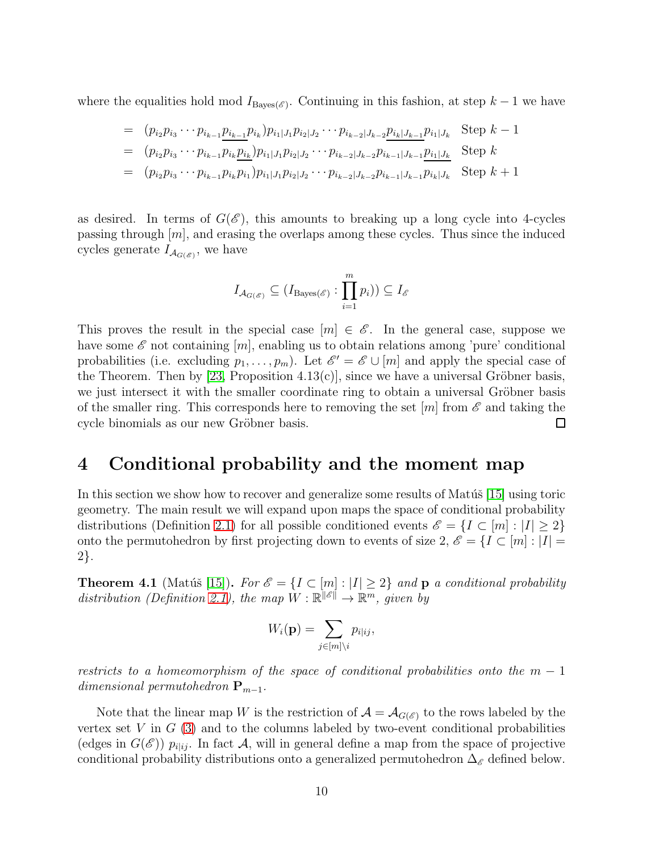where the equalities hold mod  $I_{\text{Bayes}(\mathscr{E})}$ . Continuing in this fashion, at step  $k-1$  we have

$$
= (p_{i_2}p_{i_3} \cdots p_{i_{k-1}}p_{i_k})p_{i_1|J_1}p_{i_2|J_2} \cdots p_{i_{k-2}|J_{k-2}}p_{i_k|J_{k-1}}p_{i_1|J_k} \text{Step } k-1
$$
  
\n
$$
= (p_{i_2}p_{i_3} \cdots p_{i_{k-1}}p_{i_k}p_{i_k})p_{i_1|J_1}p_{i_2|J_2} \cdots p_{i_{k-2}|J_{k-2}}p_{i_{k-1}|J_{k-1}}p_{i_1|J_k} \text{Step } k
$$
  
\n
$$
= (p_{i_2}p_{i_3} \cdots p_{i_{k-1}}p_{i_k}p_{i_1})p_{i_1|J_1}p_{i_2|J_2} \cdots p_{i_{k-2}|J_{k-2}}p_{i_{k-1}|J_{k-1}}p_{i_k|J_k} \text{Step } k+1
$$

as desired. In terms of  $G(\mathscr{E})$ , this amounts to breaking up a long cycle into 4-cycles passing through  $[m]$ , and erasing the overlaps among these cycles. Thus since the induced cycles generate  $I_{\mathcal{A}_{G(\mathscr{E})}}$ , we have

$$
I_{\mathcal{A}_{G(\mathscr{E})}} \subseteq (I_{\mathrm{Bayes}(\mathscr{E})} : \prod_{i=1}^{m} p_i)) \subseteq I_{\mathscr{E}}
$$

This proves the result in the special case  $[m] \in \mathscr{E}$ . In the general case, suppose we have some  $\mathscr E$  not containing  $[m]$ , enabling us to obtain relations among 'pure' conditional probabilities (i.e. excluding  $p_1, \ldots, p_m$ ). Let  $\mathscr{E}' = \mathscr{E} \cup [m]$  and apply the special case of the Theorem. Then by [\[23,](#page-19-2) Proposition  $4.13(c)$ ], since we have a universal Gröbner basis, we just intersect it with the smaller coordinate ring to obtain a universal Gröbner basis of the smaller ring. This corresponds here to removing the set  $[m]$  from  $\mathscr E$  and taking the cycle binomials as our new Gröbner basis.  $\Box$ 

### <span id="page-9-0"></span>4 Conditional probability and the moment map

In this section we show how to recover and generalize some results of Mat $\tilde{u}$ s [\[15\]](#page-18-4) using toric geometry. The main result we will expand upon maps the space of conditional probability distributions (Definition [2.1\)](#page-2-1) for all possible conditioned events  $\mathscr{E} = \{I \subset [m] : |I| \geq 2\}$ onto the permutohedron by first projecting down to events of size 2,  $\mathscr{E} = \{I \subset [m] : |I| = \}$ 2}.

<span id="page-9-1"></span>**Theorem 4.1** (Matúš [\[15\]](#page-18-4)). For  $\mathscr{E} = \{I \subset [m] : |I| \geq 2\}$  and **p** *a* conditional probability distribution (Definition [2.1\)](#page-2-1), the map  $W : \mathbb{R}^{\|\mathscr{E}\|} \to \mathbb{R}^m$ , given by

$$
W_i(\mathbf{p}) = \sum_{j \in [m] \setminus i} p_{i|ij},
$$

*restricts to a homeomorphism of the space of conditional probabilities onto the*  $m-1$ *dimensional permutohedron*  $\mathbf{P}_{m-1}$ *.* 

Note that the linear map W is the restriction of  $\mathcal{A} = \mathcal{A}_{G(\mathscr{E})}$  to the rows labeled by the vertex set V in  $G(3)$  $G(3)$  and to the columns labeled by two-event conditional probabilities (edges in  $G(\mathscr{E})$ )  $p_{i|i_j}$ . In fact A, will in general define a map from the space of projective conditional probability distributions onto a generalized permutohedron  $\Delta_{\mathscr{E}}$  defined below.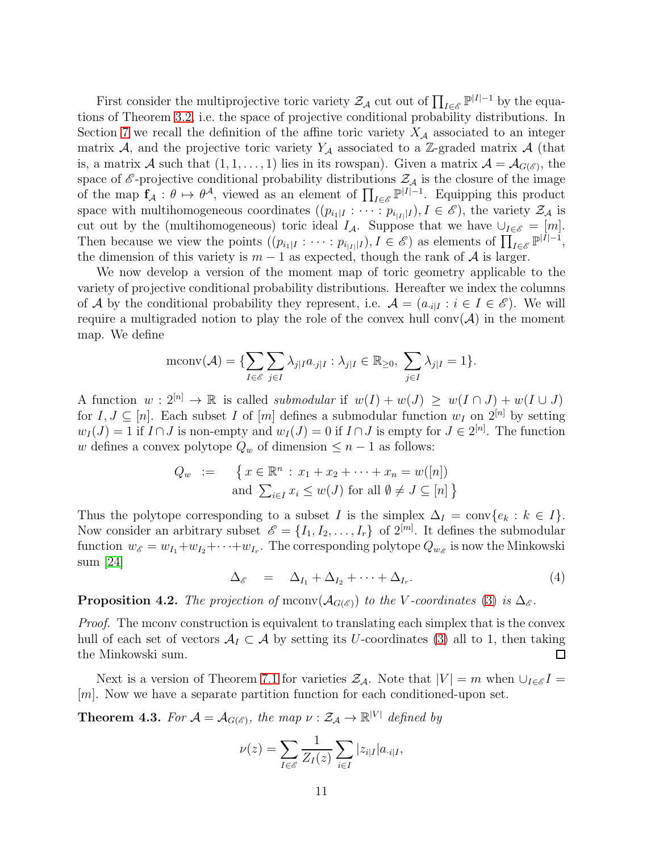First consider the multiprojective toric variety  $\mathcal{Z}_{\mathcal{A}}$  cut out of  $\prod_{I \in \mathscr{E}} \mathbb{P}^{|I|-1}$  by the equations of Theorem [3.2,](#page-6-0) i.e. the space of projective conditional probability distributions. In Section [7](#page-16-0) we recall the definition of the affine toric variety  $X_A$  associated to an integer matrix A, and the projective toric variety  $Y_A$  associated to a Z-graded matrix A (that is, a matrix A such that  $(1,1,\ldots,1)$  lies in its rowspan). Given a matrix  $\mathcal{A} = \mathcal{A}_{G(\mathscr{E})}$ , the space of  $\mathscr E$ -projective conditional probability distributions  $\mathcal Z_A$  is the closure of the image of the map  $f_A: \theta \mapsto \theta^A$ , viewed as an element of  $\prod_{I \in \mathscr{E}} \mathbb{P}^{|I|-1}$ . Equipping this product space with multihomogeneous coordinates  $((p_{i_1|I} : \cdots : p_{i_{|I|}|I}), I \in \mathscr{E})$ , the variety  $\mathcal{Z}_{\mathcal{A}}$  is cut out by the (multihomogeneous) toric ideal  $I_A$ . Suppose that we have  $\bigcup_{I \in \mathscr{E}} = [m]$ . Then because we view the points  $((p_{i_1|I} : \cdots : p_{i_{|I|}|I}), I \in \mathscr{E})$  as elements of  $\prod_{I \in \mathscr{E}} \mathbb{P}^{|I|-1}$ , the dimension of this variety is  $m-1$  as expected, though the rank of A is larger.

We now develop a version of the moment map of toric geometry applicable to the variety of projective conditional probability distributions. Hereafter we index the columns of A by the conditional probability they represent, i.e.  $A = (a_{i|I} : i \in I \in \mathscr{E})$ . We will require a multigraded notion to play the role of the convex hull conv $(\mathcal{A})$  in the moment map. We define

$$
\mathrm{mconv}(\mathcal{A}) = \{\sum_{I \in \mathcal{E}} \sum_{j \in I} \lambda_{j|I} a_{\cdot j|I} : \lambda_{j|I} \in \mathbb{R}_{\geq 0}, \sum_{j \in I} \lambda_{j|I} = 1\}.
$$

A function  $w: 2^{[n]} \to \mathbb{R}$  is called *submodular* if  $w(I) + w(J) \geq w(I \cap J) + w(I \cup J)$ for  $I, J \subseteq [n]$ . Each subset I of  $[m]$  defines a submodular function  $w_I$  on  $2^{[n]}$  by setting  $w_I(J) = 1$  if  $I \cap J$  is non-empty and  $w_I(J) = 0$  if  $I \cap J$  is empty for  $J \in 2^{[n]}$ . The function w defines a convex polytope  $Q_w$  of dimension  $\leq n-1$  as follows:

$$
Q_w := \{ x \in \mathbb{R}^n : x_1 + x_2 + \dots + x_n = w([n])
$$
  
and 
$$
\sum_{i \in I} x_i \le w(J) \text{ for all } \emptyset \ne J \subseteq [n] \}
$$

Thus the polytope corresponding to a subset I is the simplex  $\Delta_I = \text{conv}\{e_k : k \in I\}.$ Now consider an arbitrary subset  $\mathscr{E} = \{I_1, I_2, \ldots, I_r\}$  of  $2^{[m]}$ . It defines the submodular function  $w_{\mathscr{E}} = w_{I_1} + w_{I_2} + \cdots + w_{I_r}$ . The corresponding polytope  $Q_{w_{\mathscr{E}}}$  is now the Minkowski sum [\[24\]](#page-19-1)

<span id="page-10-1"></span> $\Delta_{\mathscr{E}}$  =  $\Delta_{I_1} + \Delta_{I_2} + \cdots + \Delta_{I_r}$ . .  $(4)$ 

**Proposition 4.2.** *The projection of* mconv( $\mathcal{A}_{G(\mathcal{E})}$ ) *to the V*-coordinates [\(3\)](#page-7-2) *is*  $\Delta_{\mathcal{E}}$ .

*Proof.* The mconv construction is equivalent to translating each simplex that is the convex hull of each set of vectors  $A_I \subset A$  by setting its U-coordinates [\(3\)](#page-7-2) all to 1, then taking the Minkowski sum.  $\Box$ 

Next is a version of Theorem [7.1](#page-17-0) for varieties  $\mathcal{Z}_{\mathcal{A}}$ . Note that  $|V| = m$  when  $\bigcup_{I \in \mathscr{E}} I =$ [m]. Now we have a separate partition function for each conditioned-upon set.

<span id="page-10-0"></span>**Theorem 4.3.** For  $\mathcal{A} = \mathcal{A}_{G(\mathscr{E})}$ , the map  $\nu : \mathcal{Z}_{\mathcal{A}} \to \mathbb{R}^{|V|}$  defined by

$$
\nu(z) = \sum_{I \in \mathscr{E}} \frac{1}{Z_I(z)} \sum_{i \in I} |z_{i|I}| a_{i|I},
$$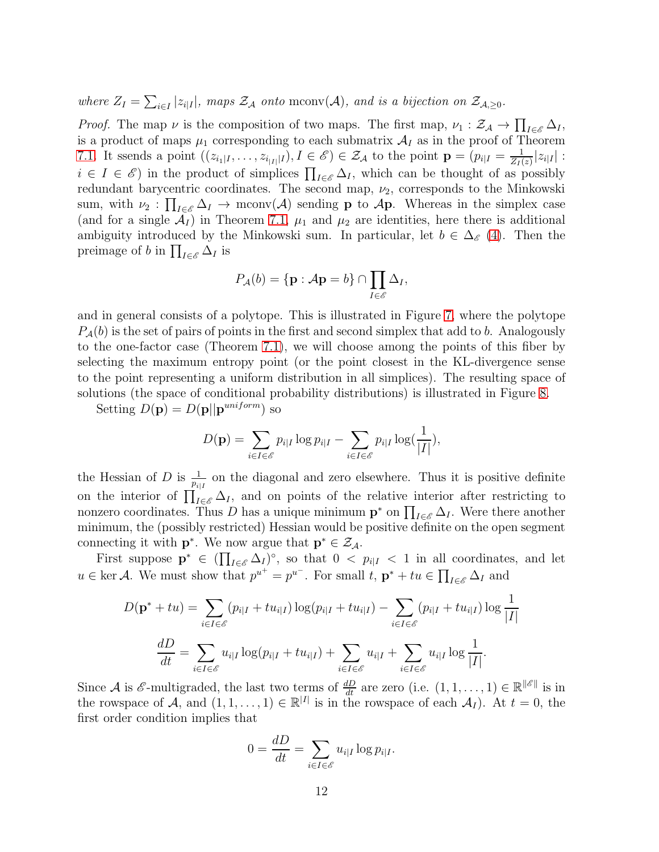where  $Z_I = \sum_{i \in I} |z_{i|I}|$ , maps  $Z_A$  onto mconv(A), and is a bijection on  $Z_{A, \geq 0}$ .

*Proof.* The map  $\nu$  is the composition of two maps. The first map,  $\nu_1 : \mathcal{Z}_A \to \prod_{I \in \mathcal{E}} \Delta_I$ , is a product of maps  $\mu_1$  corresponding to each submatrix  $\mathcal{A}_I$  as in the proof of Theorem [7.1.](#page-17-0) It ssends a point  $((z_{i_1|I},...,z_{i_{|I|}|I}), I \in \mathscr{E}) \in \mathcal{Z}_{\mathcal{A}}$  to the point  $\mathbf{p} = (p_{i|I} = \frac{1}{Z_I(I)})$  $\frac{1}{Z_I(z)}|z_{i|I}|$ :  $i \in I \in \mathscr{E}$  in the product of simplices  $\prod_{I \in \mathscr{E}} \Delta_I$ , which can be thought of as possibly redundant barycentric coordinates. The second map,  $\nu_2$ , corresponds to the Minkowski sum, with  $\nu_2: \prod_{I \in \mathscr{E}} \Delta_I \to \text{mconv}(\mathcal{A})$  sending **p** to  $\mathcal{A}$ **p**. Whereas in the simplex case (and for a single  $\mathcal{A}_I$ ) in Theorem [7.1,](#page-17-0)  $\mu_1$  and  $\mu_2$  are identities, here there is additional ambiguity introduced by the Minkowski sum. In particular, let  $b \in \Delta_{\mathscr{E}}(4)$  $b \in \Delta_{\mathscr{E}}(4)$ . Then the preimage of b in  $\prod_{I \in \mathscr{E}} \Delta_I$  is

$$
P_{\mathcal{A}}(b) = {\mathbf{p} : \mathcal{A}\mathbf{p} = b} \cap \prod_{I \in \mathscr{E}} \Delta_I,
$$

and in general consists of a polytope. This is illustrated in Figure [7,](#page-12-0) where the polytope  $P_{\mathcal{A}}(b)$  is the set of pairs of points in the first and second simplex that add to b. Analogously to the one-factor case (Theorem [7.1\)](#page-17-0), we will choose among the points of this fiber by selecting the maximum entropy point (or the point closest in the KL-divergence sense to the point representing a uniform distribution in all simplices). The resulting space of solutions (the space of conditional probability distributions) is illustrated in Figure [8.](#page-13-0)

Setting  $D(\mathbf{p}) = D(\mathbf{p}||\mathbf{p}^{uniform})$  so

$$
D(\mathbf{p}) = \sum_{i \in I \in \mathscr{E}} p_{i|I} \log p_{i|I} - \sum_{i \in I \in \mathscr{E}} p_{i|I} \log(\frac{1}{|I|}),
$$

the Hessian of D is  $\frac{1}{p_{i|I}}$  on the diagonal and zero elsewhere. Thus it is positive definite on the interior of  $\prod_{I\in\mathscr{E}}\Delta_I$ , and on points of the relative interior after restricting to nonzero coordinates. Thus D has a unique minimum  $\mathbf{p}^*$  on  $\prod_{I \in \mathscr{E}} \Delta_I$ . Were there another minimum, the (possibly restricted) Hessian would be positive definite on the open segment connecting it with  $\mathbf{p}^*$ . We now argue that  $\mathbf{p}^* \in \mathcal{Z}_{\mathcal{A}}$ .

First suppose  $\mathbf{p}^* \in (\prod_{I \in \mathscr{E}} \Delta_I)^\circ$ , so that  $0 < p_{i|I} < 1$  in all coordinates, and let  $u \in \text{ker } A$ . We must show that  $p^{u^+} = p^{u^-}$ . For small  $t, \, \mathbf{p}^* + tu \in \prod_{I \in \mathscr{E}} \Delta_I$  and

$$
D(\mathbf{p}^* + tu) = \sum_{i \in I \in \mathcal{E}} (p_{i|I} + tu_{i|I}) \log(p_{i|I} + tu_{i|I}) - \sum_{i \in I \in \mathcal{E}} (p_{i|I} + tu_{i|I}) \log \frac{1}{|I|}
$$

$$
\frac{dD}{dt} = \sum_{i \in I \in \mathcal{E}} u_{i|I} \log(p_{i|I} + tu_{i|I}) + \sum_{i \in I \in \mathcal{E}} u_{i|I} + \sum_{i \in I \in \mathcal{E}} u_{i|I} \log \frac{1}{|I|}.
$$

Since A is  $\mathscr E$ -multigraded, the last two terms of  $\frac{dD}{dt}$  are zero (i.e.  $(1, 1, \ldots, 1) \in \mathbb R^{\|\mathscr E\|}$  is in the rowspace of A, and  $(1,1,\ldots,1) \in \mathbb{R}^{|I|}$  is in the rowspace of each  $\mathcal{A}_I$ ). At  $t=0$ , the first order condition implies that

$$
0 = \frac{dD}{dt} = \sum_{i \in I \in \mathcal{E}} u_{i|I} \log p_{i|I}.
$$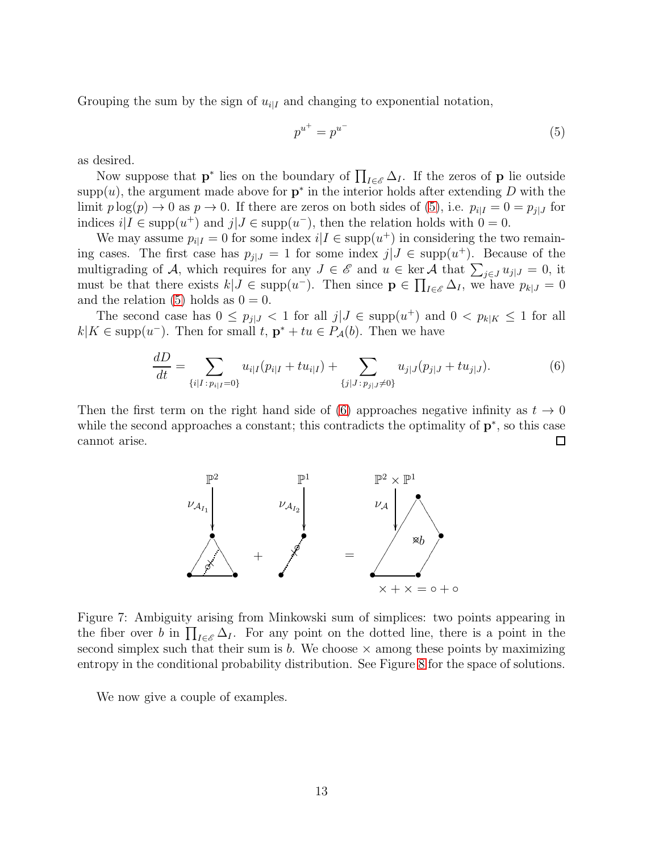Grouping the sum by the sign of  $u_{i|I}$  and changing to exponential notation,

<span id="page-12-1"></span>
$$
p^{u^+} = p^{u^-} \tag{5}
$$

as desired.

Now suppose that  $\mathbf{p}^*$  lies on the boundary of  $\prod_{I \in \mathscr{E}} \Delta_I$ . If the zeros of  $\mathbf{p}$  lie outside supp $(u)$ , the argument made above for  $p^*$  in the interior holds after extending D with the limit  $p \log(p) \to 0$  as  $p \to 0$ . If there are zeros on both sides of [\(5\)](#page-12-1), i.e.  $p_{i|I} = 0 = p_{j|J}$  for indices  $i|I \in \text{supp}(u^+)$  and  $j|J \in \text{supp}(u^-)$ , then the relation holds with  $0 = 0$ .

We may assume  $p_{i|I} = 0$  for some index  $i|I \in \text{supp}(u^+)$  in considering the two remaining cases. The first case has  $p_{j|J} = 1$  for some index  $j|J \in \text{supp}(u^+)$ . Because of the multigrading of A, which requires for any  $J \in \mathscr{E}$  and  $u \in \text{ker } A$  that  $\sum_{j \in J} u_{j|J} = 0$ , it must be that there exists  $k|J \in \text{supp}(u^{-})$ . Then since  $\mathbf{p} \in \prod_{I \in \mathscr{E}} \Delta_I$ , we have  $p_{k|J} = 0$ and the relation [\(5\)](#page-12-1) holds as  $0 = 0$ .

The second case has  $0 \leq p_{j|J} < 1$  for all  $j|J \in \text{supp}(u^{+})$  and  $0 < p_{k|K} \leq 1$  for all  $k|K \in \text{supp}(u^{-})$ . Then for small  $t, \mathbf{p}^* + tu \in P_{\mathcal{A}}(b)$ . Then we have

<span id="page-12-2"></span>
$$
\frac{dD}{dt} = \sum_{\{i|I:p_{i|I}=0\}} u_{i|I}(p_{i|I} + tu_{i|I}) + \sum_{\{j|J:p_{j|J}\neq 0\}} u_{j|J}(p_{j|J} + tu_{j|J}). \tag{6}
$$

Then the first term on the right hand side of [\(6\)](#page-12-2) approaches negative infinity as  $t \to 0$ while the second approaches a constant; this contradicts the optimality of  $\mathbf{p}^*$ , so this case cannot arise. □



<span id="page-12-0"></span>Figure 7: Ambiguity arising from Minkowski sum of simplices: two points appearing in the fiber over b in  $\prod_{I\in\mathscr{E}}\Delta_I$ . For any point on the dotted line, there is a point in the second simplex such that their sum is b. We choose  $\times$  among these points by maximizing entropy in the conditional probability distribution. See Figure [8](#page-13-0) for the space of solutions.

We now give a couple of examples.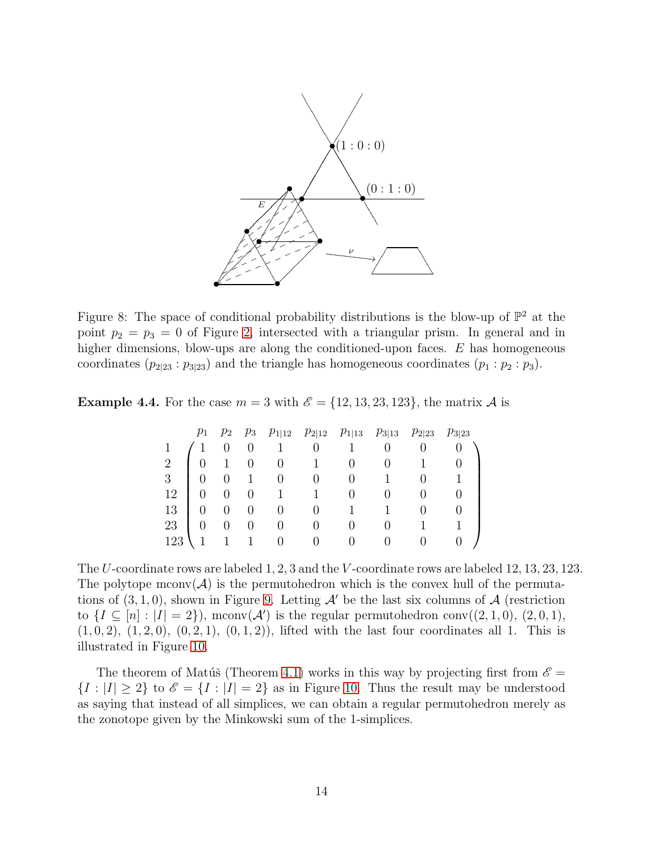

<span id="page-13-0"></span>Figure 8: The space of conditional probability distributions is the blow-up of  $\mathbb{P}^2$  at the point  $p_2 = p_3 = 0$  of Figure [2,](#page-3-0) intersected with a triangular prism. In general and in higher dimensions, blow-ups are along the conditioned-upon faces. E has homogeneous coordinates  $(p_{2|23} : p_{3|23})$  and the triangle has homogeneous coordinates  $(p_1 : p_2 : p_3)$ .

**Example 4.4.** For the case  $m = 3$  with  $\mathscr{E} = \{12, 13, 23, 123\}$ , the matrix A is

|                |  |                | $p_1$ $p_2$ $p_3$ $p_{1 12}$ $p_{2 12}$ $p_{1 13}$ $p_{3 13}$ $p_{2 23}$ $p_{3 23}$ |   |  |  |
|----------------|--|----------------|-------------------------------------------------------------------------------------|---|--|--|
|                |  |                |                                                                                     | 1 |  |  |
| $\overline{2}$ |  | $\overline{0}$ |                                                                                     |   |  |  |
| 3 <sup>1</sup> |  |                |                                                                                     |   |  |  |
| 12             |  |                | 1                                                                                   |   |  |  |
| 13             |  |                |                                                                                     |   |  |  |
| 23             |  |                |                                                                                     |   |  |  |
| 123            |  |                |                                                                                     |   |  |  |

The U-coordinate rows are labeled 1, 2, 3 and the V -coordinate rows are labeled 12, 13, 23, 123. The polytope mconv $(\mathcal{A})$  is the permutohedron which is the convex hull of the permutations of  $(3, 1, 0)$ , shown in Figure [9.](#page-14-1) Letting  $\mathcal{A}'$  be the last six columns of  $\mathcal{A}$  (restriction to  $\{I \subseteq [n] : |I| = 2\}$ , mconv $(A')$  is the regular permutohedron conv $((2,1,0), (2,0,1),$  $(1, 0, 2), (1, 2, 0), (0, 2, 1), (0, 1, 2),$  lifted with the last four coordinates all 1. This is illustrated in Figure [10.](#page-14-2)

The theorem of Matúš (Theorem [4.1\)](#page-9-1) works in this way by projecting first from  $\mathscr{E} =$  ${I : |I| \ge 2}$  to  $\mathscr{E} = {I : |I| = 2}$  as in Figure [10.](#page-14-2) Thus the result may be understood as saying that instead of all simplices, we can obtain a regular permutohedron merely as the zonotope given by the Minkowski sum of the 1-simplices.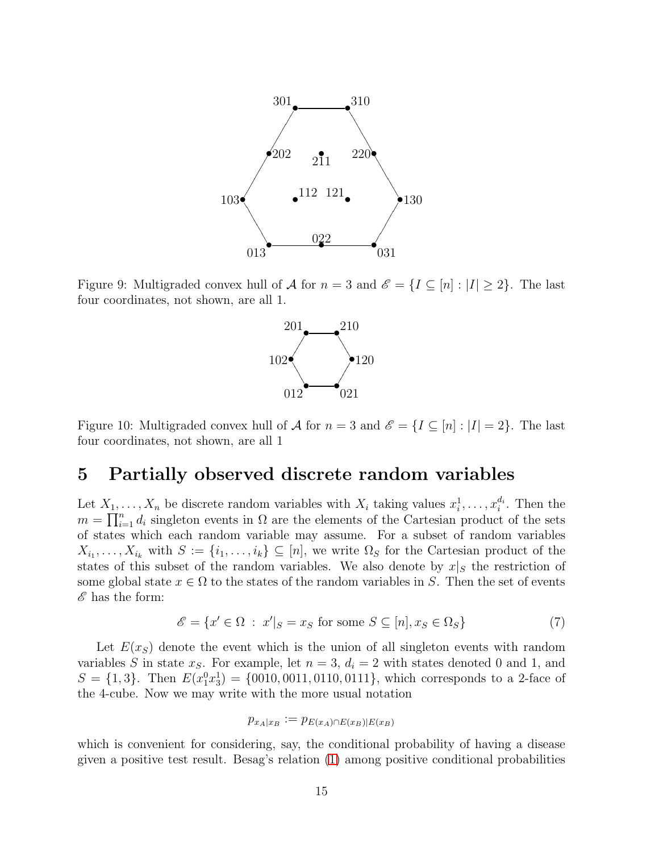

<span id="page-14-1"></span>Figure 9: Multigraded convex hull of A for  $n = 3$  and  $\mathscr{E} = \{I \subseteq [n] : |I| \geq 2\}$ . The last four coordinates, not shown, are all 1.



<span id="page-14-2"></span>Figure 10: Multigraded convex hull of A for  $n = 3$  and  $\mathscr{E} = \{I \subseteq [n] : |I| = 2\}$ . The last four coordinates, not shown, are all 1

### <span id="page-14-0"></span>5 Partially observed discrete random variables

Let  $X_1, \ldots, X_n$  be discrete random variables with  $X_i$  taking values  $x_i^1, \ldots, x_i^{d_i}$ . Then the  $m = \prod_{i=1}^{n} d_i$  singleton events in  $\Omega$  are the elements of the Cartesian product of the sets of states which each random variable may assume. For a subset of random variables  $X_{i_1}, \ldots, X_{i_k}$  with  $S := \{i_1, \ldots, i_k\} \subseteq [n]$ , we write  $\Omega_S$  for the Cartesian product of the states of this subset of the random variables. We also denote by  $x|_S$  the restriction of some global state  $x \in \Omega$  to the states of the random variables in S. Then the set of events  $\mathscr E$  has the form:

$$
\mathcal{E} = \{x' \in \Omega : x'|_{S} = x_{S} \text{ for some } S \subseteq [n], x_{S} \in \Omega_{S} \}
$$
\n
$$
(7)
$$

Let  $E(x<sub>S</sub>)$  denote the event which is the union of all singleton events with random variables S in state  $x<sub>S</sub>$ . For example, let  $n = 3$ ,  $d<sub>i</sub> = 2$  with states denoted 0 and 1, and  $S = \{1, 3\}$ . Then  $E(x_1^0 x_3^1) = \{0010, 0011, 0110, 0111\}$ , which corresponds to a 2-face of the 4-cube. Now we may write with the more usual notation

$$
p_{x_A|x_B} := p_{E(x_A) \cap E(x_B)|E(x_B)}
$$

which is convenient for considering, say, the conditional probability of having a disease given a positive test result. Besag's relation [\(1\)](#page-0-0) among positive conditional probabilities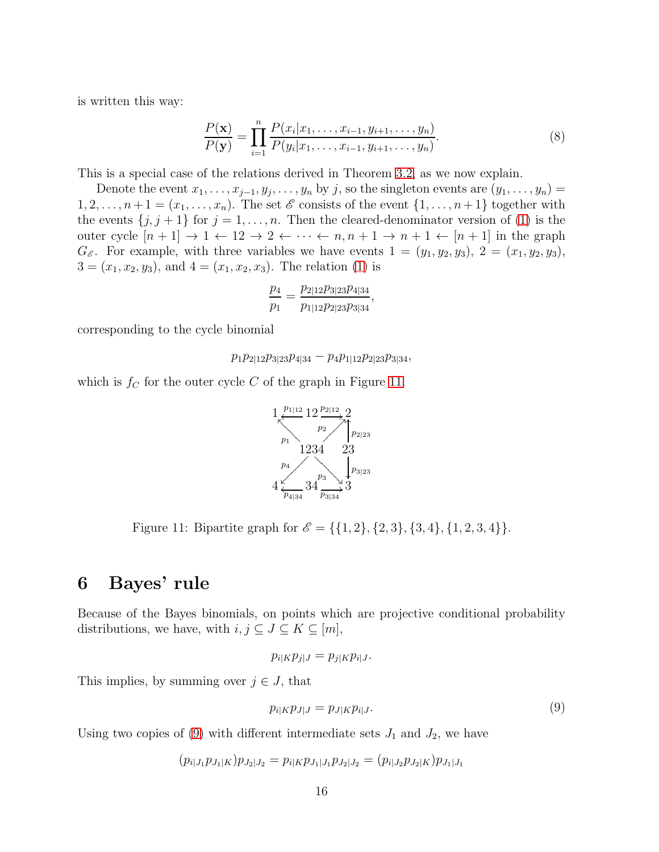is written this way:

$$
\frac{P(\mathbf{x})}{P(\mathbf{y})} = \prod_{i=1}^{n} \frac{P(x_i | x_1, \dots, x_{i-1}, y_{i+1}, \dots, y_n)}{P(y_i | x_1, \dots, x_{i-1}, y_{i+1}, \dots, y_n)}.
$$
(8)

This is a special case of the relations derived in Theorem [3.2,](#page-6-0) as we now explain.

Denote the event  $x_1, \ldots, x_{j-1}, y_j, \ldots, y_n$  by j, so the singleton events are  $(y_1, \ldots, y_n)$  =  $1, 2, \ldots, n+1 = (x_1, \ldots, x_n)$ . The set  $\mathscr E$  consists of the event  $\{1, \ldots, n+1\}$  together with the events  $\{j, j + 1\}$  for  $j = 1, ..., n$ . Then the cleared-denominator version of [\(1\)](#page-0-0) is the outer cycle  $[n+1] \rightarrow 1 \leftarrow 12 \rightarrow 2 \leftarrow \cdots \leftarrow n, n+1 \rightarrow n+1 \leftarrow [n+1]$  in the graph  $G_{\mathscr{E}}$ . For example, with three variables we have events  $1 = (y_1, y_2, y_3), 2 = (x_1, y_2, y_3)$ ,  $3 = (x_1, x_2, y_3)$ , and  $4 = (x_1, x_2, x_3)$ . The relation [\(1\)](#page-0-0) is

$$
\frac{p_4}{p_1} = \frac{p_{2|12}p_{3|23}p_{4|34}}{p_{1|12}p_{2|23}p_{3|34}},
$$

corresponding to the cycle binomial

$$
p_1 p_{2|12} p_{3|23} p_{4|34} - p_4 p_{1|12} p_{2|23} p_{3|34},
$$

which is  $f_C$  for the outer cycle C of the graph in Figure [11.](#page-15-1)



<span id="page-15-1"></span>Figure 11: Bipartite graph for  $\mathscr{E} = \{\{1, 2\}, \{2, 3\}, \{3, 4\}, \{1, 2, 3, 4\}\}.$ 

## <span id="page-15-0"></span>6 Bayes' rule

Because of the Bayes binomials, on points which are projective conditional probability distributions, we have, with  $i, j \subseteq J \subseteq K \subseteq [m]$ ,

$$
p_{i|K}p_{j|J} = p_{j|K}p_{i|J}.
$$

This implies, by summing over  $j \in J$ , that

<span id="page-15-2"></span>
$$
p_{i|K}p_{J|J} = p_{J|K}p_{i|J}.\tag{9}
$$

Using two copies of [\(9\)](#page-15-2) with different intermediate sets  $J_1$  and  $J_2$ , we have

$$
(p_{i|J_1}p_{J_1|K})p_{J_2|J_2} = p_{i|K}p_{J_1|J_1}p_{J_2|J_2} = (p_{i|J_2}p_{J_2|K})p_{J_1|J_1}
$$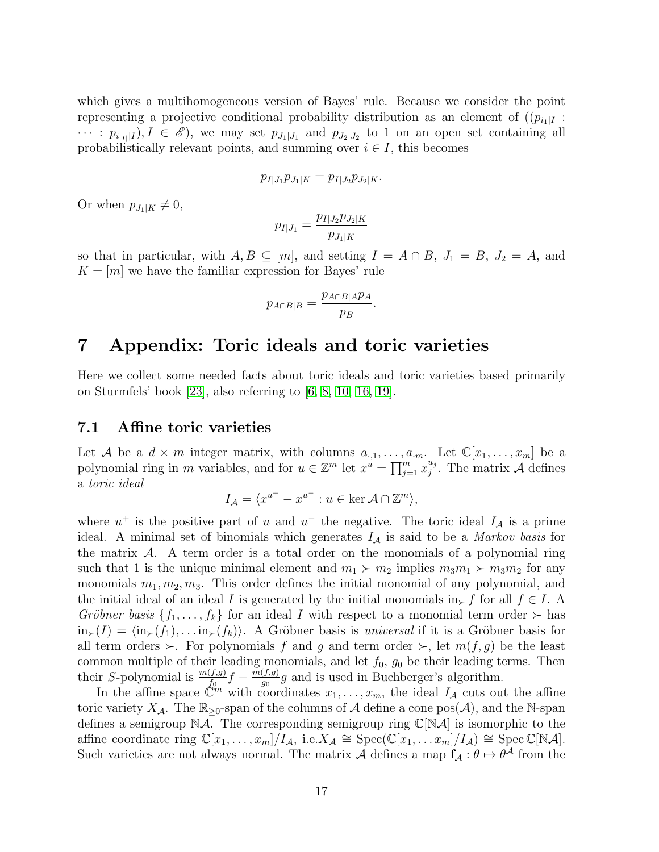which gives a multihomogeneous version of Bayes' rule. Because we consider the point representing a projective conditional probability distribution as an element of  $((p_{i}I)$  $\cdots$ :  $p_{i|I|}(I), I \in \mathscr{E}$ , we may set  $p_{J_1|J_1}$  and  $p_{J_2|J_2}$  to 1 on an open set containing all probabilistically relevant points, and summing over  $i \in I$ , this becomes

$$
p_{I|J_1}p_{J_1|K}=p_{I|J_2}p_{J_2|K}.
$$

Or when  $p_{J_1|K} \neq 0$ ,

$$
p_{I|J_1} = \frac{p_{I|J_2}p_{J_2|K}}{p_{J_1|K}}
$$

so that in particular, with  $A, B \subseteq [m]$ , and setting  $I = A \cap B$ ,  $J_1 = B$ ,  $J_2 = A$ , and  $K = [m]$  we have the familiar expression for Bayes' rule

$$
p_{A \cap B|B} = \frac{p_{A \cap B|A}p_A}{p_B}.
$$

## <span id="page-16-0"></span>7 Appendix: Toric ideals and toric varieties

Here we collect some needed facts about toric ideals and toric varieties based primarily on Sturmfels' book [\[23\]](#page-19-2), also referring to [\[6,](#page-18-13) [8,](#page-18-14) [10,](#page-18-15) [16,](#page-18-11) [19\]](#page-19-6).

#### 7.1 Affine toric varieties

Let A be a  $d \times m$  integer matrix, with columns  $a_{\cdot,1}, \ldots, a_{\cdot m}$ . Let  $\mathbb{C}[x_1, \ldots, x_m]$  be a polynomial ring in m variables, and for  $u \in \mathbb{Z}^m$  let  $x^u = \prod_{j=1}^m x_j^{u_j}$  $_{j}^{u_{j}}$ . The matrix A defines a *toric ideal*

$$
I_{\mathcal{A}} = \langle x^{u^+} - x^{u^-} : u \in \ker \mathcal{A} \cap \mathbb{Z}^m \rangle,
$$

where  $u^+$  is the positive part of u and  $u^-$  the negative. The toric ideal  $I_A$  is a prime ideal. A minimal set of binomials which generates I<sup>A</sup> is said to be a *Markov basis* for the matrix  $\mathcal{A}$ . A term order is a total order on the monomials of a polynomial ring such that 1 is the unique minimal element and  $m_1 \succ m_2$  implies  $m_3m_1 \succ m_3m_2$  for any monomials  $m_1, m_2, m_3$ . This order defines the initial monomial of any polynomial, and the initial ideal of an ideal I is generated by the initial monomials in⊱ f for all  $f \in I$ . A *Gröbner basis*  $\{f_1, \ldots, f_k\}$  for an ideal *I* with respect to a monomial term order ≻ has  $\lim_{\succ}(I) = \langle \text{in}_{\succ}(f_1), \dots \text{in}_{\succ}(f_k) \rangle$ . A Gröbner basis is *universal* if it is a Gröbner basis for all term orders  $\succ$ . For polynomials f and g and term order  $\succ$ , let  $m(f, g)$  be the least common multiple of their leading monomials, and let  $f_0$ ,  $g_0$  be their leading terms. Then their S-polynomial is  $\frac{m(f,g)}{f_0}f - \frac{m(f,g)}{g_0}$  $\frac{(J,g)}{g_0}g$  and is used in Buchberger's algorithm.

In the affine space  $\mathbb{C}^m$  with coordinates  $x_1, \ldots, x_m$ , the ideal  $I_A$  cuts out the affine toric variety  $X_{\mathcal{A}}$ . The  $\mathbb{R}_{\geq 0}$ -span of the columns of  $\mathcal A$  define a cone pos( $\mathcal A$ ), and the N-span defines a semigroup  $N\mathcal{A}$ . The corresponding semigroup ring  $\mathbb{C}[N\mathcal{A}]$  is isomorphic to the affine coordinate ring  $\mathbb{C}[x_1,\ldots,x_m]/I_{\mathcal{A}},$  i.e.  $X_{\mathcal{A}} \cong \operatorname{Spec}(\mathbb{C}[x_1,\ldots,x_m]/I_{\mathcal{A}}) \cong \operatorname{Spec} \mathbb{C}[\mathbb{N}{\mathcal{A}}].$ Such varieties are not always normal. The matrix  $\mathcal A$  defines a map  $f_{\mathcal A} : \theta \mapsto \theta^{\mathcal A}$  from the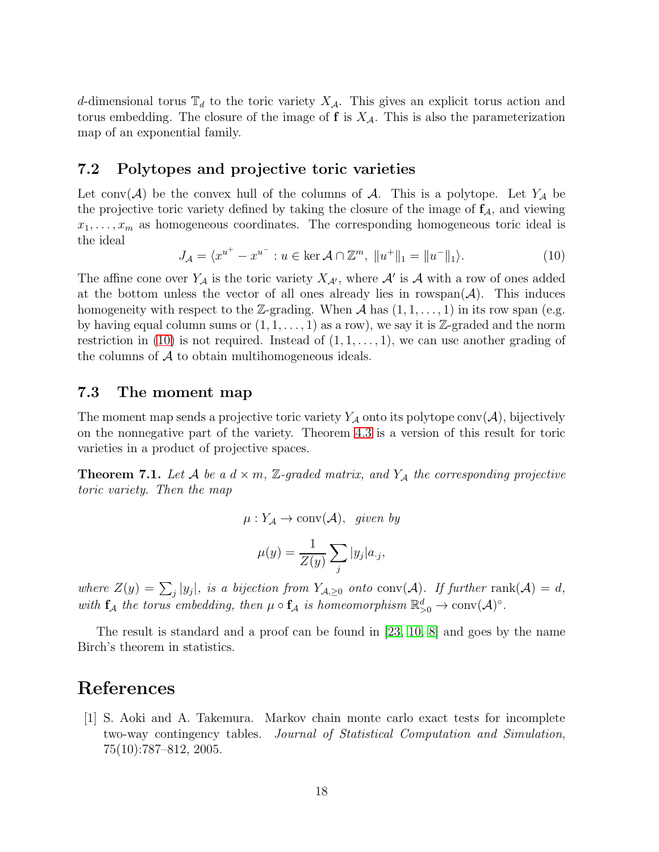d-dimensional torus  $\mathbb{T}_d$  to the toric variety  $X_{\mathcal{A}}$ . This gives an explicit torus action and torus embedding. The closure of the image of  $f$  is  $X_{\mathcal{A}}$ . This is also the parameterization map of an exponential family.

#### 7.2 Polytopes and projective toric varieties

Let conv $(\mathcal{A})$  be the convex hull of the columns of  $\mathcal{A}$ . This is a polytope. Let  $Y_{\mathcal{A}}$  be the projective toric variety defined by taking the closure of the image of  $f_A$ , and viewing  $x_1, \ldots, x_m$  as homogeneous coordinates. The corresponding homogeneous toric ideal is the ideal

<span id="page-17-2"></span>
$$
J_{\mathcal{A}} = \langle x^{u^{+}} - x^{u^{-}} : u \in \ker \mathcal{A} \cap \mathbb{Z}^{m}, \ ||u^{+}||_{1} = ||u^{-}||_{1} \rangle.
$$
 (10)

The affine cone over  $Y_{\mathcal{A}}$  is the toric variety  $X_{\mathcal{A}'},$  where  $\mathcal{A}'$  is  $\mathcal{A}$  with a row of ones added at the bottom unless the vector of all ones already lies in rowspan( $A$ ). This induces homogeneity with respect to the Z-grading. When A has  $(1, 1, \ldots, 1)$  in its row span (e.g. by having equal column sums or  $(1, 1, \ldots, 1)$  as a row), we say it is Z-graded and the norm restriction in [\(10\)](#page-17-2) is not required. Instead of  $(1, 1, \ldots, 1)$ , we can use another grading of the columns of  $A$  to obtain multihomogeneous ideals.

#### 7.3 The moment map

The moment map sends a projective toric variety  $Y_{\mathcal{A}}$  onto its polytope conv $(\mathcal{A})$ , bijectively on the nonnegative part of the variety. Theorem [4.3](#page-10-0) is a version of this result for toric varieties in a product of projective spaces.

<span id="page-17-0"></span>**Theorem 7.1.** Let  $A$  be a  $d \times m$ ,  $\mathbb{Z}$ -graded matrix, and  $Y_A$  the corresponding projective *toric variety. Then the map*

$$
\mu: Y_{\mathcal{A}} \to \text{conv}(\mathcal{A}), \quad given \; by
$$

$$
\mu(y) = \frac{1}{Z(y)} \sum_{j} |y_j| a_{\cdot j},
$$

where  $Z(y) = \sum_j |y_j|$ *, is a bijection from*  $Y_{\mathcal{A},\geq 0}$  *onto* conv( $\mathcal{A}$ )*. If further* rank( $\mathcal{A}$ ) = d*,* with  $f_A$  the torus embedding, then  $\mu \circ f_A$  is homeomorphism  $\mathbb{R}^d_{>0} \to \text{conv}(\mathcal{A})^{\circ}$ .

The result is standard and a proof can be found in [\[23,](#page-19-2) [10,](#page-18-15) [8\]](#page-18-14) and goes by the name Birch's theorem in statistics.

## <span id="page-17-1"></span>References

[1] S. Aoki and A. Takemura. Markov chain monte carlo exact tests for incomplete two-way contingency tables. *Journal of Statistical Computation and Simulation*, 75(10):787–812, 2005.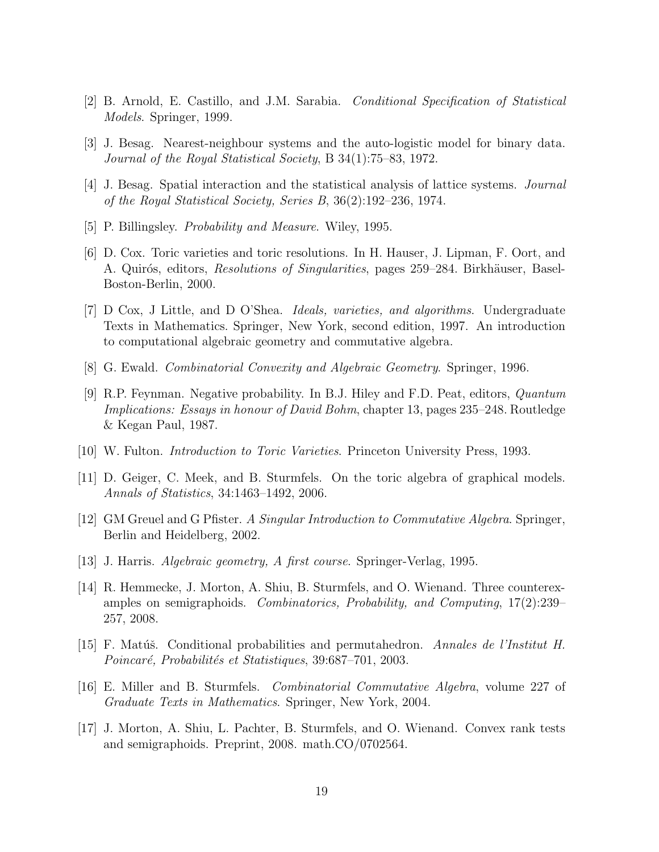- <span id="page-18-5"></span><span id="page-18-1"></span>[2] B. Arnold, E. Castillo, and J.M. Sarabia. *Conditional Specification of Statistical Models*. Springer, 1999.
- <span id="page-18-0"></span>[3] J. Besag. Nearest-neighbour systems and the auto-logistic model for binary data. *Journal of the Royal Statistical Society*, B 34(1):75–83, 1972.
- <span id="page-18-8"></span>[4] J. Besag. Spatial interaction and the statistical analysis of lattice systems. *Journal of the Royal Statistical Society, Series B*, 36(2):192–236, 1974.
- <span id="page-18-13"></span>[5] P. Billingsley. *Probability and Measure*. Wiley, 1995.
- [6] D. Cox. Toric varieties and toric resolutions. In H. Hauser, J. Lipman, F. Oort, and A. Quirós, editors, *Resolutions of Singularities*, pages 259–284. Birkhäuser, Basel-Boston-Berlin, 2000.
- <span id="page-18-3"></span>[7] D Cox, J Little, and D O'Shea. *Ideals, varieties, and algorithms*. Undergraduate Texts in Mathematics. Springer, New York, second edition, 1997. An introduction to computational algebraic geometry and commutative algebra.
- <span id="page-18-14"></span><span id="page-18-10"></span>[8] G. Ewald. *Combinatorial Convexity and Algebraic Geometry*. Springer, 1996.
- [9] R.P. Feynman. Negative probability. In B.J. Hiley and F.D. Peat, editors, *Quantum Implications: Essays in honour of David Bohm*, chapter 13, pages 235–248. Routledge & Kegan Paul, 1987.
- <span id="page-18-15"></span><span id="page-18-2"></span>[10] W. Fulton. *Introduction to Toric Varieties*. Princeton University Press, 1993.
- <span id="page-18-12"></span>[11] D. Geiger, C. Meek, and B. Sturmfels. On the toric algebra of graphical models. *Annals of Statistics*, 34:1463–1492, 2006.
- <span id="page-18-9"></span>[12] GM Greuel and G Pfister. *A Singular Introduction to Commutative Algebra*. Springer, Berlin and Heidelberg, 2002.
- <span id="page-18-6"></span>[13] J. Harris. *Algebraic geometry, A first course*. Springer-Verlag, 1995.
- [14] R. Hemmecke, J. Morton, A. Shiu, B. Sturmfels, and O. Wienand. Three counterexamples on semigraphoids. *Combinatorics, Probability, and Computing*, 17(2):239– 257, 2008.
- <span id="page-18-4"></span>[15] F. Matúš. Conditional probabilities and permutahedron. *Annales de l'Institut H. Poincar´e, Probabilit´es et Statistiques*, 39:687–701, 2003.
- <span id="page-18-11"></span>[16] E. Miller and B. Sturmfels. *Combinatorial Commutative Algebra*, volume 227 of *Graduate Texts in Mathematics*. Springer, New York, 2004.
- <span id="page-18-7"></span>[17] J. Morton, A. Shiu, L. Pachter, B. Sturmfels, and O. Wienand. Convex rank tests and semigraphoids. Preprint, 2008. math.CO/0702564.